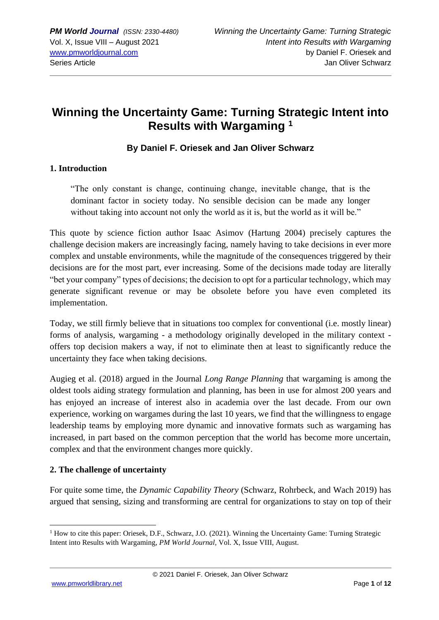# **Winning the Uncertainty Game: Turning Strategic Intent into Results with Wargaming <sup>1</sup>**

### **By Daniel F. Oriesek and Jan Oliver Schwarz**

#### **1. Introduction**

"The only constant is change, continuing change, inevitable change, that is the dominant factor in society today. No sensible decision can be made any longer without taking into account not only the world as it is, but the world as it will be."

This quote by science fiction author Isaac Asimov (Hartung 2004) precisely captures the challenge decision makers are increasingly facing, namely having to take decisions in ever more complex and unstable environments, while the magnitude of the consequences triggered by their decisions are for the most part, ever increasing. Some of the decisions made today are literally "bet your company" types of decisions; the decision to opt for a particular technology, which may generate significant revenue or may be obsolete before you have even completed its implementation.

Today, we still firmly believe that in situations too complex for conventional (i.e. mostly linear) forms of analysis, wargaming - a methodology originally developed in the military context offers top decision makers a way, if not to eliminate then at least to significantly reduce the uncertainty they face when taking decisions.

Augieg et al. (2018) argued in the Journal *Long Range Planning* that wargaming is among the oldest tools aiding strategy formulation and planning, has been in use for almost 200 years and has enjoyed an increase of interest also in academia over the last decade. From our own experience, working on wargames during the last 10 years, we find that the willingness to engage leadership teams by employing more dynamic and innovative formats such as wargaming has increased, in part based on the common perception that the world has become more uncertain, complex and that the environment changes more quickly.

#### **2. The challenge of uncertainty**

For quite some time, the *Dynamic Capability Theory* (Schwarz, Rohrbeck, and Wach 2019) has argued that sensing, sizing and transforming are central for organizations to stay on top of their

<sup>&</sup>lt;sup>1</sup> How to cite this paper: Oriesek, D.F., Schwarz, J.O. (2021). Winning the Uncertainty Game: Turning Strategic Intent into Results with Wargaming, *PM World Journal,* Vol. X, Issue VIII, August.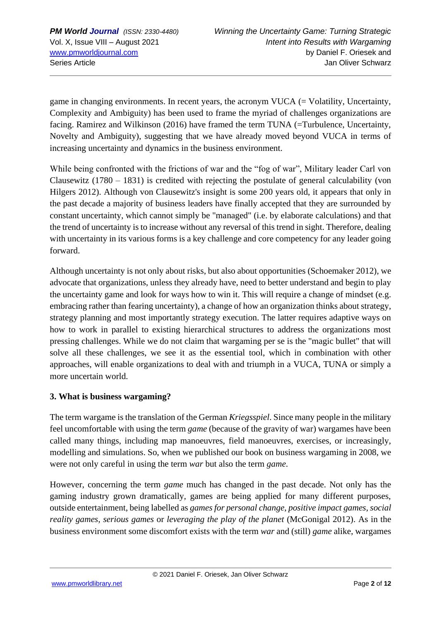game in changing environments. In recent years, the acronym VUCA  $(=$  Volatility, Uncertainty, Complexity and Ambiguity) has been used to frame the myriad of challenges organizations are facing. Ramirez and Wilkinson (2016) have framed the term TUNA (=Turbulence, Uncertainty, Novelty and Ambiguity), suggesting that we have already moved beyond VUCA in terms of increasing uncertainty and dynamics in the business environment.

While being confronted with the frictions of war and the "fog of war", Military leader Carl von Clausewitz (1780 – 1831) is credited with rejecting the postulate of general calculability (von Hilgers 2012). Although von Clausewitz's insight is some 200 years old, it appears that only in the past decade a majority of business leaders have finally accepted that they are surrounded by constant uncertainty, which cannot simply be "managed" (i.e. by elaborate calculations) and that the trend of uncertainty is to increase without any reversal of this trend in sight. Therefore, dealing with uncertainty in its various forms is a key challenge and core competency for any leader going forward.

Although uncertainty is not only about risks, but also about opportunities (Schoemaker 2012), we advocate that organizations, unless they already have, need to better understand and begin to play the uncertainty game and look for ways how to win it. This will require a change of mindset (e.g. embracing rather than fearing uncertainty), a change of how an organization thinks about strategy, strategy planning and most importantly strategy execution. The latter requires adaptive ways on how to work in parallel to existing hierarchical structures to address the organizations most pressing challenges. While we do not claim that wargaming per se is the "magic bullet" that will solve all these challenges, we see it as the essential tool, which in combination with other approaches, will enable organizations to deal with and triumph in a VUCA, TUNA or simply a more uncertain world.

#### **3. What is business wargaming?**

The term wargame is the translation of the German *Kriegsspiel*. Since many people in the military feel uncomfortable with using the term *game* (because of the gravity of war) wargames have been called many things, including map manoeuvres, field manoeuvres, exercises, or increasingly, modelling and simulations. So, when we published our book on business wargaming in 2008, we were not only careful in using the term *war* but also the term *game*.

However, concerning the term *game* much has changed in the past decade. Not only has the gaming industry grown dramatically, games are being applied for many different purposes, outside entertainment, being labelled as *games for personal change*, *positive impact games*, *social reality games*, *serious games* or *leveraging the play of the planet* (McGonigal 2012). As in the business environment some discomfort exists with the term *war* and (still) *game* alike, wargames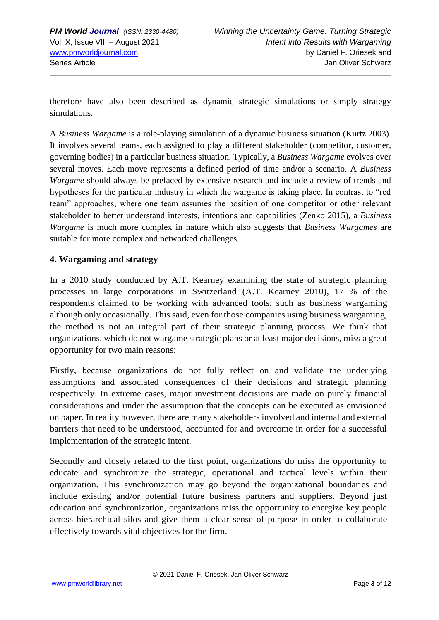therefore have also been described as dynamic strategic simulations or simply strategy simulations.

A *Business Wargame* is a role-playing simulation of a dynamic business situation (Kurtz 2003). It involves several teams, each assigned to play a different stakeholder (competitor, customer, governing bodies) in a particular business situation. Typically, a *Business Wargame* evolves over several moves. Each move represents a defined period of time and/or a scenario. A *Business Wargame* should always be prefaced by extensive research and include a review of trends and hypotheses for the particular industry in which the wargame is taking place. In contrast to "red team" approaches, where one team assumes the position of one competitor or other relevant stakeholder to better understand interests, intentions and capabilities (Zenko 2015), a *Business Wargame* is much more complex in nature which also suggests that *Business Wargames* are suitable for more complex and networked challenges.

### **4. Wargaming and strategy**

In a 2010 study conducted by A.T. Kearney examining the state of strategic planning processes in large corporations in Switzerland (A.T. Kearney 2010), 17 % of the respondents claimed to be working with advanced tools, such as business wargaming although only occasionally. This said, even for those companies using business wargaming, the method is not an integral part of their strategic planning process. We think that organizations, which do not wargame strategic plans or at least major decisions, miss a great opportunity for two main reasons:

Firstly, because organizations do not fully reflect on and validate the underlying assumptions and associated consequences of their decisions and strategic planning respectively. In extreme cases, major investment decisions are made on purely financial considerations and under the assumption that the concepts can be executed as envisioned on paper. In reality however, there are many stakeholders involved and internal and external barriers that need to be understood, accounted for and overcome in order for a successful implementation of the strategic intent.

Secondly and closely related to the first point, organizations do miss the opportunity to educate and synchronize the strategic, operational and tactical levels within their organization. This synchronization may go beyond the organizational boundaries and include existing and/or potential future business partners and suppliers. Beyond just education and synchronization, organizations miss the opportunity to energize key people across hierarchical silos and give them a clear sense of purpose in order to collaborate effectively towards vital objectives for the firm.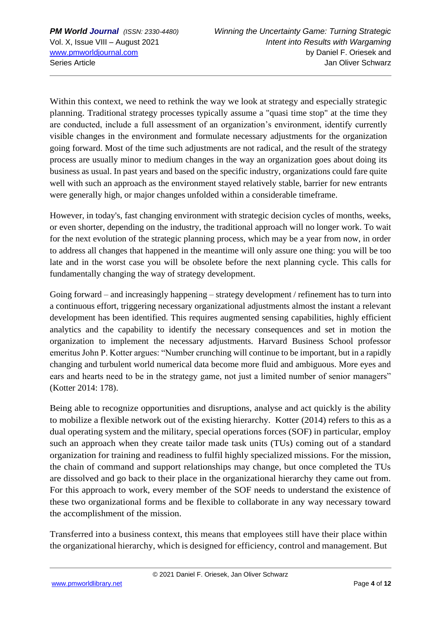Within this context, we need to rethink the way we look at strategy and especially strategic planning. Traditional strategy processes typically assume a "quasi time stop" at the time they are conducted, include a full assessment of an organization's environment, identify currently visible changes in the environment and formulate necessary adjustments for the organization going forward. Most of the time such adjustments are not radical, and the result of the strategy process are usually minor to medium changes in the way an organization goes about doing its business as usual. In past years and based on the specific industry, organizations could fare quite well with such an approach as the environment stayed relatively stable, barrier for new entrants were generally high, or major changes unfolded within a considerable timeframe.

However, in today's, fast changing environment with strategic decision cycles of months, weeks, or even shorter, depending on the industry, the traditional approach will no longer work. To wait for the next evolution of the strategic planning process, which may be a year from now, in order to address all changes that happened in the meantime will only assure one thing: you will be too late and in the worst case you will be obsolete before the next planning cycle. This calls for fundamentally changing the way of strategy development.

Going forward – and increasingly happening – strategy development / refinement has to turn into a continuous effort, triggering necessary organizational adjustments almost the instant a relevant development has been identified. This requires augmented sensing capabilities, highly efficient analytics and the capability to identify the necessary consequences and set in motion the organization to implement the necessary adjustments. Harvard Business School professor emeritus John P. Kotter argues: "Number crunching will continue to be important, but in a rapidly changing and turbulent world numerical data become more fluid and ambiguous. More eyes and ears and hearts need to be in the strategy game, not just a limited number of senior managers" (Kotter 2014: 178).

Being able to recognize opportunities and disruptions, analyse and act quickly is the ability to mobilize a flexible network out of the existing hierarchy. Kotter (2014) refers to this as a dual operating system and the military, special operations forces (SOF) in particular, employ such an approach when they create tailor made task units (TUs) coming out of a standard organization for training and readiness to fulfil highly specialized missions. For the mission, the chain of command and support relationships may change, but once completed the TUs are dissolved and go back to their place in the organizational hierarchy they came out from. For this approach to work, every member of the SOF needs to understand the existence of these two organizational forms and be flexible to collaborate in any way necessary toward the accomplishment of the mission.

Transferred into a business context, this means that employees still have their place within the organizational hierarchy, which is designed for efficiency, control and management. But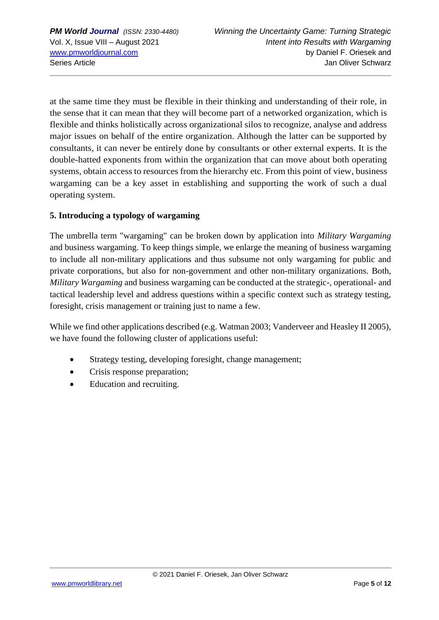at the same time they must be flexible in their thinking and understanding of their role, in the sense that it can mean that they will become part of a networked organization, which is flexible and thinks holistically across organizational silos to recognize, analyse and address major issues on behalf of the entire organization. Although the latter can be supported by consultants, it can never be entirely done by consultants or other external experts. It is the double-hatted exponents from within the organization that can move about both operating systems, obtain access to resources from the hierarchy etc. From this point of view, business wargaming can be a key asset in establishing and supporting the work of such a dual operating system.

#### **5. Introducing a typology of wargaming**

The umbrella term "wargaming" can be broken down by application into *Military Wargaming* and business wargaming. To keep things simple, we enlarge the meaning of business wargaming to include all non-military applications and thus subsume not only wargaming for public and private corporations, but also for non-government and other non-military organizations. Both, *Military Wargaming* and business wargaming can be conducted at the strategic-, operational- and tactical leadership level and address questions within a specific context such as strategy testing, foresight, crisis management or training just to name a few.

While we find other applications described (e.g. Watman 2003; Vanderveer and Heasley II 2005), we have found the following cluster of applications useful:

- Strategy testing, developing foresight, change management;
- Crisis response preparation;
- Education and recruiting.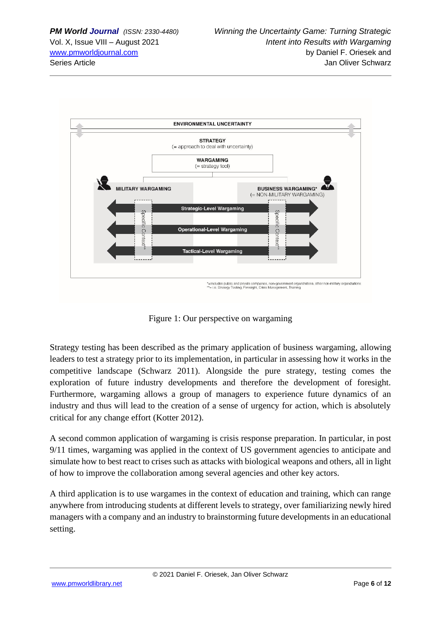

Figure 1: Our perspective on wargaming

Strategy testing has been described as the primary application of business wargaming, allowing leaders to test a strategy prior to its implementation, in particular in assessing how it works in the competitive landscape (Schwarz 2011). Alongside the pure strategy, testing comes the exploration of future industry developments and therefore the development of foresight. Furthermore, wargaming allows a group of managers to experience future dynamics of an industry and thus will lead to the creation of a sense of urgency for action, which is absolutely critical for any change effort (Kotter 2012).

A second common application of wargaming is crisis response preparation. In particular, in post 9/11 times, wargaming was applied in the context of US government agencies to anticipate and simulate how to best react to crises such as attacks with biological weapons and others, all in light of how to improve the collaboration among several agencies and other key actors.

A third application is to use wargames in the context of education and training, which can range anywhere from introducing students at different levels to strategy, over familiarizing newly hired managers with a company and an industry to brainstorming future developments in an educational setting.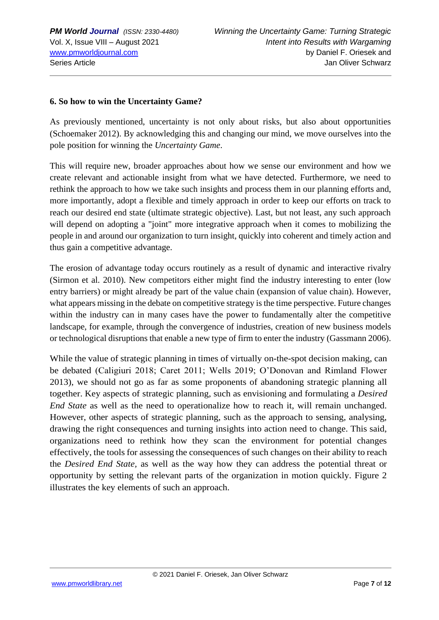#### **6. So how to win the Uncertainty Game?**

As previously mentioned, uncertainty is not only about risks, but also about opportunities (Schoemaker 2012). By acknowledging this and changing our mind, we move ourselves into the pole position for winning the *Uncertainty Game*.

This will require new, broader approaches about how we sense our environment and how we create relevant and actionable insight from what we have detected. Furthermore, we need to rethink the approach to how we take such insights and process them in our planning efforts and, more importantly, adopt a flexible and timely approach in order to keep our efforts on track to reach our desired end state (ultimate strategic objective). Last, but not least, any such approach will depend on adopting a "joint" more integrative approach when it comes to mobilizing the people in and around our organization to turn insight, quickly into coherent and timely action and thus gain a competitive advantage.

The erosion of advantage today occurs routinely as a result of dynamic and interactive rivalry (Sirmon et al. 2010). New competitors either might find the industry interesting to enter (low entry barriers) or might already be part of the value chain (expansion of value chain). However, what appears missing in the debate on competitive strategy is the time perspective. Future changes within the industry can in many cases have the power to fundamentally alter the competitive landscape, for example, through the convergence of industries, creation of new business models or technological disruptions that enable a new type of firm to enter the industry (Gassmann 2006).

While the value of strategic planning in times of virtually on-the-spot decision making, can be debated (Caligiuri 2018; Caret 2011; Wells 2019; O'Donovan and Rimland Flower 2013), we should not go as far as some proponents of abandoning strategic planning all together. Key aspects of strategic planning, such as envisioning and formulating a *Desired End State* as well as the need to operationalize how to reach it, will remain unchanged. However, other aspects of strategic planning, such as the approach to sensing, analysing, drawing the right consequences and turning insights into action need to change. This said, organizations need to rethink how they scan the environment for potential changes effectively, the tools for assessing the consequences of such changes on their ability to reach the *Desired End State,* as well as the way how they can address the potential threat or opportunity by setting the relevant parts of the organization in motion quickly. Figure 2 illustrates the key elements of such an approach.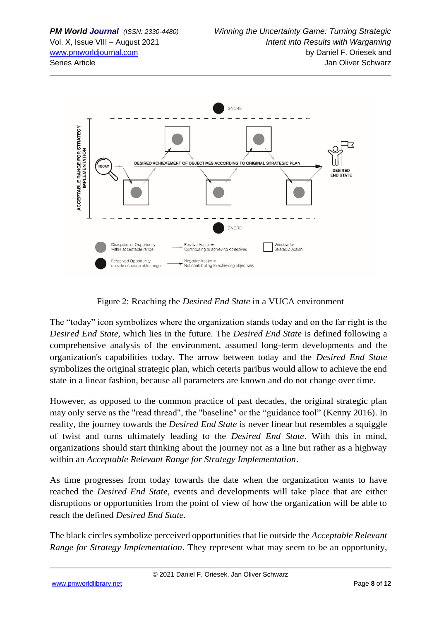

Figure 2: Reaching the *Desired End State* in a VUCA environment

The "today" icon symbolizes where the organization stands today and on the far right is the *Desired End State,* which lies in the future. The *Desired End State* is defined following a comprehensive analysis of the environment, assumed long-term developments and the organization's capabilities today. The arrow between today and the *Desired End State* symbolizes the original strategic plan, which ceteris paribus would allow to achieve the end state in a linear fashion, because all parameters are known and do not change over time.

However, as opposed to the common practice of past decades, the original strategic plan may only serve as the "read thread", the "baseline" or the "guidance tool" (Kenny 2016). In reality, the journey towards the *Desired End State* is never linear but resembles a squiggle of twist and turns ultimately leading to the *Desired End State*. With this in mind, organizations should start thinking about the journey not as a line but rather as a highway within an *Acceptable Relevant Range for Strategy Implementation*.

As time progresses from today towards the date when the organization wants to have reached the *Desired End State*, events and developments will take place that are either disruptions or opportunities from the point of view of how the organization will be able to reach the defined *Desired End State*.

The black circles symbolize perceived opportunities that lie outside the *Acceptable Relevant Range for Strategy Implementation*. They represent what may seem to be an opportunity,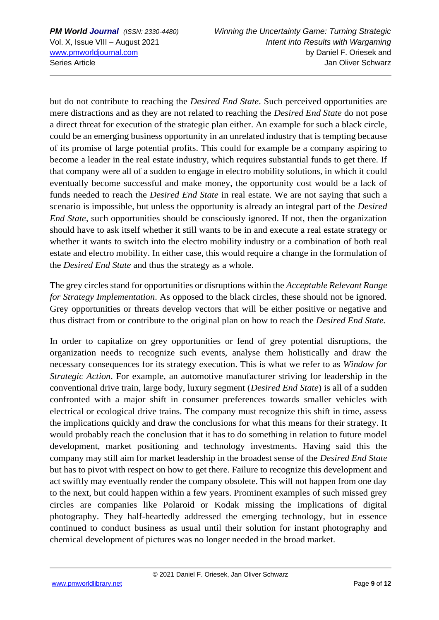but do not contribute to reaching the *Desired End State*. Such perceived opportunities are mere distractions and as they are not related to reaching the *Desired End State* do not pose a direct threat for execution of the strategic plan either. An example for such a black circle, could be an emerging business opportunity in an unrelated industry that is tempting because of its promise of large potential profits. This could for example be a company aspiring to become a leader in the real estate industry, which requires substantial funds to get there. If that company were all of a sudden to engage in electro mobility solutions, in which it could eventually become successful and make money, the opportunity cost would be a lack of funds needed to reach the *Desired End State* in real estate. We are not saying that such a scenario is impossible, but unless the opportunity is already an integral part of the *Desired End State*, such opportunities should be consciously ignored. If not, then the organization should have to ask itself whether it still wants to be in and execute a real estate strategy or whether it wants to switch into the electro mobility industry or a combination of both real estate and electro mobility. In either case, this would require a change in the formulation of the *Desired End State* and thus the strategy as a whole.

The grey circles stand for opportunities or disruptions within the *Acceptable Relevant Range for Strategy Implementation*. As opposed to the black circles, these should not be ignored. Grey opportunities or threats develop vectors that will be either positive or negative and thus distract from or contribute to the original plan on how to reach the *Desired End State.* 

In order to capitalize on grey opportunities or fend of grey potential disruptions, the organization needs to recognize such events, analyse them holistically and draw the necessary consequences for its strategy execution. This is what we refer to as *Window for Strategic Action*. For example, an automotive manufacturer striving for leadership in the conventional drive train, large body, luxury segment (*Desired End State*) is all of a sudden confronted with a major shift in consumer preferences towards smaller vehicles with electrical or ecological drive trains. The company must recognize this shift in time, assess the implications quickly and draw the conclusions for what this means for their strategy. It would probably reach the conclusion that it has to do something in relation to future model development, market positioning and technology investments. Having said this the company may still aim for market leadership in the broadest sense of the *Desired End State* but has to pivot with respect on how to get there. Failure to recognize this development and act swiftly may eventually render the company obsolete. This will not happen from one day to the next, but could happen within a few years. Prominent examples of such missed grey circles are companies like Polaroid or Kodak missing the implications of digital photography. They half-heartedly addressed the emerging technology, but in essence continued to conduct business as usual until their solution for instant photography and chemical development of pictures was no longer needed in the broad market.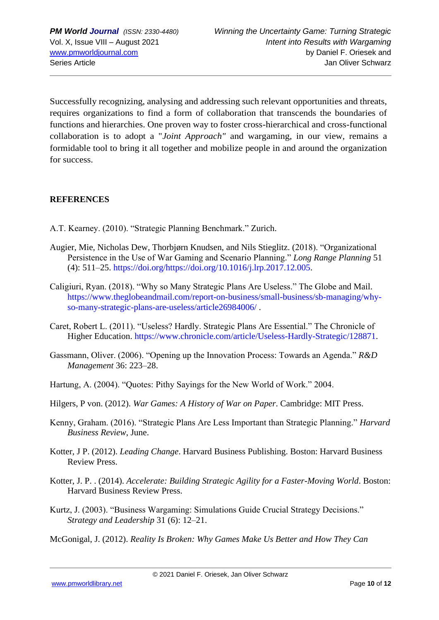Successfully recognizing, analysing and addressing such relevant opportunities and threats, requires organizations to find a form of collaboration that transcends the boundaries of functions and hierarchies. One proven way to foster cross-hierarchical and cross-functional collaboration is to adopt a "*Joint Approach"* and wargaming, in our view, remains a formidable tool to bring it all together and mobilize people in and around the organization for success.

#### **REFERENCES**

- A.T. Kearney. (2010). "Strategic Planning Benchmark." Zurich.
- Augier, Mie, Nicholas Dew, Thorbjørn Knudsen, and Nils Stieglitz. (2018). "Organizational Persistence in the Use of War Gaming and Scenario Planning." *Long Range Planning* 51 (4): 511–25. https://doi.org/https://doi.org/10.1016/j.lrp.2017.12.005.
- Caligiuri, Ryan. (2018). "Why so Many Strategic Plans Are Useless." The Globe and Mail. https://www.theglobeandmail.com/report-on-business/small-business/sb-managing/whyso-many-strategic-plans-are-useless/article26984006/ .
- Caret, Robert L. (2011). "Useless? Hardly. Strategic Plans Are Essential." The Chronicle of Higher Education. https://www.chronicle.com/article/Useless-Hardly-Strategic/128871.
- Gassmann, Oliver. (2006). "Opening up the Innovation Process: Towards an Agenda." *R&D Management* 36: 223–28.
- Hartung, A. (2004). "Quotes: Pithy Sayings for the New World of Work." 2004.
- Hilgers, P von. (2012). *War Games: A History of War on Paper*. Cambridge: MIT Press.
- Kenny, Graham. (2016). "Strategic Plans Are Less Important than Strategic Planning." *Harvard Business Review*, June.
- Kotter, J P. (2012). *Leading Change*. Harvard Business Publishing. Boston: Harvard Business Review Press.
- Kotter, J. P. . (2014). *Accelerate: Building Strategic Agility for a Faster-Moving World*. Boston: Harvard Business Review Press.
- Kurtz, J. (2003). "Business Wargaming: Simulations Guide Crucial Strategy Decisions." *Strategy and Leadership* 31 (6): 12–21.

McGonigal, J. (2012). *Reality Is Broken: Why Games Make Us Better and How They Can*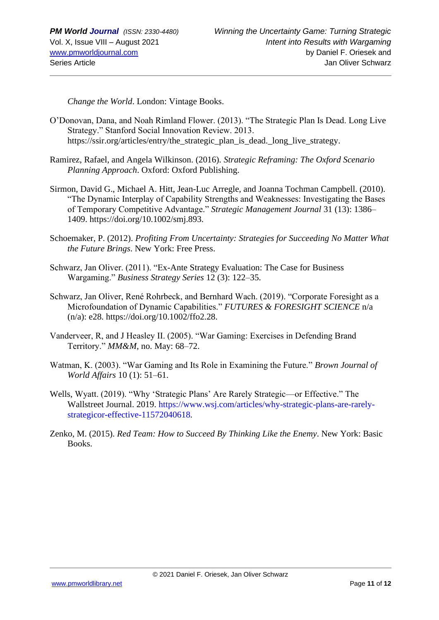*Change the World*. London: Vintage Books.

- O'Donovan, Dana, and Noah Rimland Flower. (2013). "The Strategic Plan Is Dead. Long Live Strategy." Stanford Social Innovation Review. 2013. https://ssir.org/articles/entry/the\_strategic\_plan\_is\_dead.\_long\_live\_strategy.
- Ramirez, Rafael, and Angela Wilkinson. (2016). *Strategic Reframing: The Oxford Scenario Planning Approach*. Oxford: Oxford Publishing.
- Sirmon, David G., Michael A. Hitt, Jean-Luc Arregle, and Joanna Tochman Campbell. (2010). "The Dynamic Interplay of Capability Strengths and Weaknesses: Investigating the Bases of Temporary Competitive Advantage." *Strategic Management Journal* 31 (13): 1386– 1409. https://doi.org/10.1002/smj.893.
- Schoemaker, P. (2012). *Profiting From Uncertainty: Strategies for Succeeding No Matter What the Future Brings*. New York: Free Press.
- Schwarz, Jan Oliver. (2011). "Ex-Ante Strategy Evaluation: The Case for Business Wargaming." *Business Strategy Series* 12 (3): 122–35.
- Schwarz, Jan Oliver, René Rohrbeck, and Bernhard Wach. (2019). "Corporate Foresight as a Microfoundation of Dynamic Capabilities." *FUTURES & FORESIGHT SCIENCE* n/a (n/a): e28. https://doi.org/10.1002/ffo2.28.
- Vanderveer, R, and J Heasley II. (2005). "War Gaming: Exercises in Defending Brand Territory." *MM&M*, no. May: 68–72.
- Watman, K. (2003). "War Gaming and Its Role in Examining the Future." *Brown Journal of World Affairs* 10 (1): 51–61.
- Wells, Wyatt. (2019). "Why 'Strategic Plans' Are Rarely Strategic—or Effective." The Wallstreet Journal. 2019. https://www.wsj.com/articles/why-strategic-plans-are-rarelystrategicor-effective-11572040618.
- Zenko, M. (2015). *Red Team: How to Succeed By Thinking Like the Enemy*. New York: Basic Books.